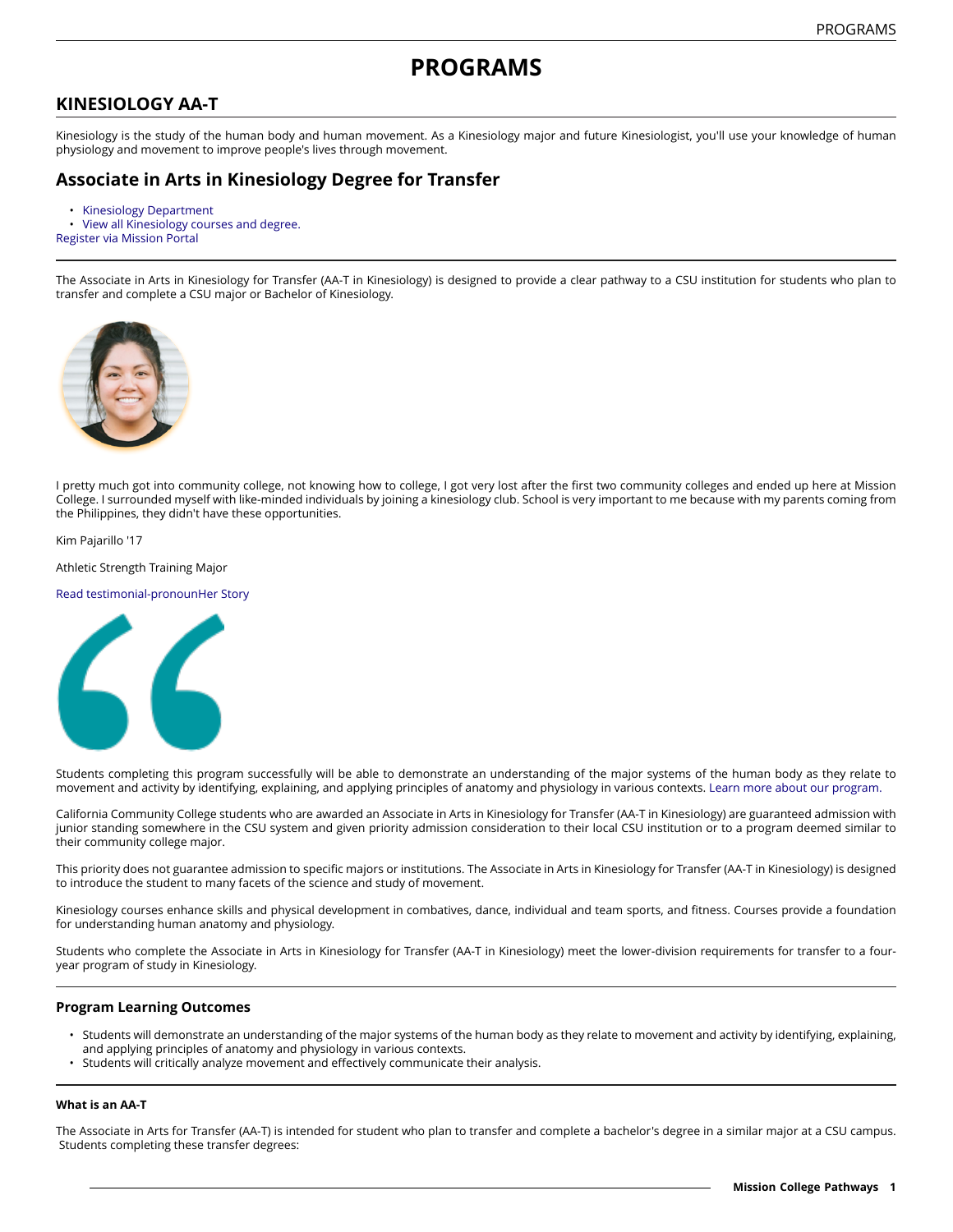# **PROGRAMS**

## **KINESIOLOGY AA-T**

Kinesiology is the study of the human body and human movement. As a Kinesiology major and future Kinesiologist, you'll use your knowledge of human physiology and movement to improve people's lives through movement.

## **Associate in Arts in Kinesiology Degree for Transfer**

• [Kinesiology Department](https://missioncollege.edu/depts/kinesiology)

• View all [Kinesiology](http://majors.missioncollege.edu/current/courses/kin.html) courses and degree.

[Register via Mission Portal](https://web.wvm.edu/)

The Associate in Arts in Kinesiology for Transfer (AA-T in Kinesiology) is designed to provide a clear pathway to a CSU institution for students who plan to transfer and complete a CSU major or Bachelor of Kinesiology.



I pretty much got into community college, not knowing how to college, I got very lost after the first two community colleges and ended up here at Mission College. I surrounded myself with like-minded individuals by joining a kinesiology club. School is very important to me because with my parents coming from the Philippines, they didn't have these opportunities.

Kim Pajarillo '17

Athletic Strength Training Major

Read testimonial-pronounHer Story



Students completing this program successfully will be able to demonstrate an understanding of the major systems of the human body as they relate to movement and activity by identifying, explaining, and applying principles of anatomy and physiology in various contexts. Learn more about our [program.](https://missioncollege.edu/depts/kinesiology)

California Community College students who are awarded an Associate in Arts in Kinesiology for Transfer (AA-T in Kinesiology) are guaranteed admission with junior standing somewhere in the CSU system and given priority admission consideration to their local CSU institution or to a program deemed similar to their community college major.

This priority does not guarantee admission to specific majors or institutions. The Associate in Arts in Kinesiology for Transfer (AA-T in Kinesiology) is designed to introduce the student to many facets of the science and study of movement.

Kinesiology courses enhance skills and physical development in combatives, dance, individual and team sports, and fitness. Courses provide a foundation for understanding human anatomy and physiology.

Students who complete the Associate in Arts in Kinesiology for Transfer (AA-T in Kinesiology) meet the lower-division requirements for transfer to a fouryear program of study in Kinesiology.

## **Program Learning Outcomes**

- Students will demonstrate an understanding of the major systems of the human body as they relate to movement and activity by identifying, explaining, and applying principles of anatomy and physiology in various contexts.
- Students will critically analyze movement and effectively communicate their analysis.

### **What is an AA-T**

The Associate in Arts for Transfer (AA-T) is intended for student who plan to transfer and complete a bachelor's degree in a similar major at a CSU campus. Students completing these transfer degrees: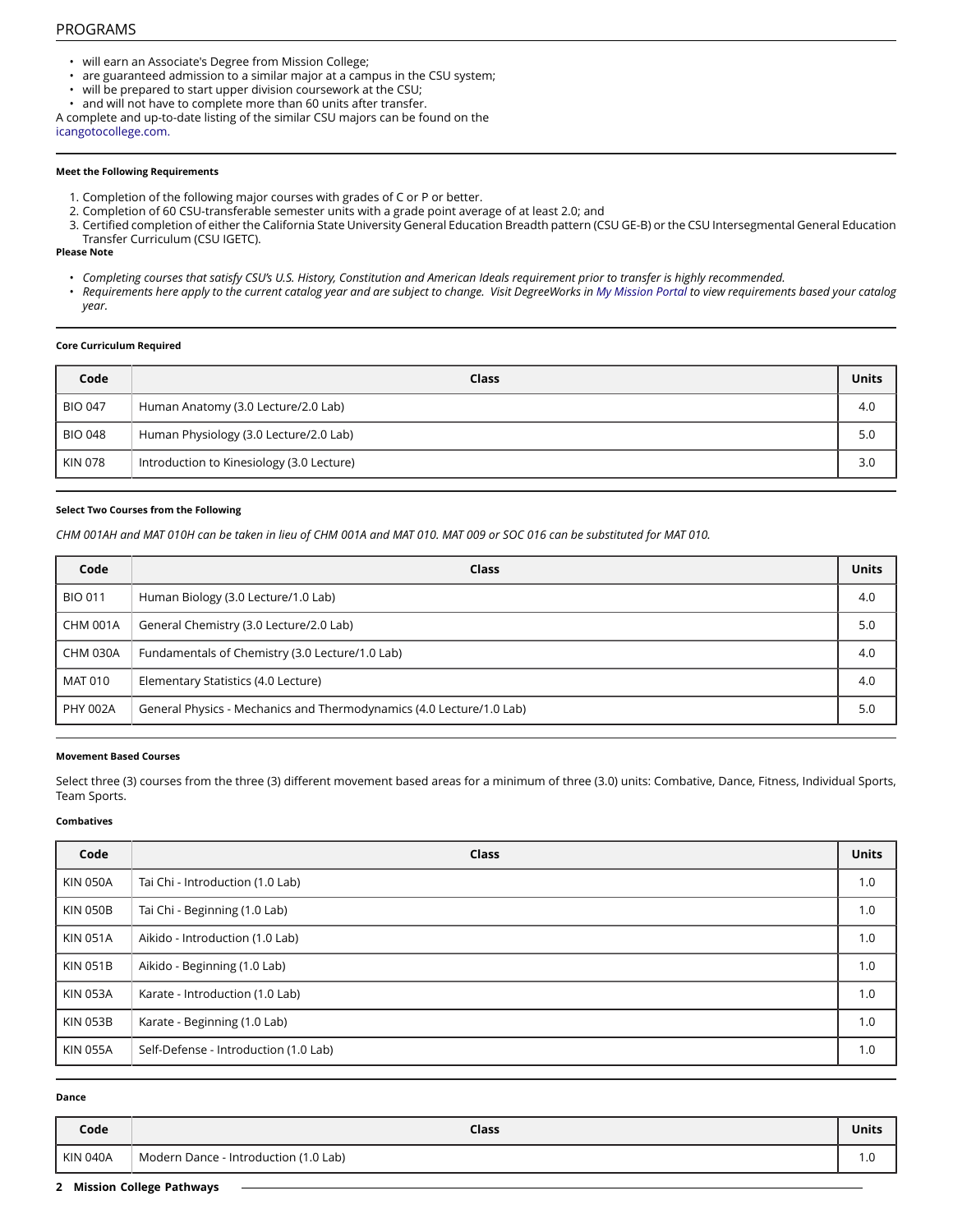- will earn an Associate's Degree from Mission College;
- are guaranteed admission to a similar major at a campus in the CSU system;
- will be prepared to start upper division coursework at the CSU;
- and will not have to complete more than 60 units after transfer.

A complete and up-to-date listing of the similar CSU majors can be found on the [icangotocollege.com.](https://icangotocollege.com/?sitekey=adegree)

#### **Meet the Following Requirements**

- 1. Completion of the following major courses with grades of C or P or better.
- 2. Completion of 60 CSU-transferable semester units with a grade point average of at least 2.0; and
- 3. Certified completion of either the California State University General Education Breadth pattern (CSU GE-B) or the CSU Intersegmental General Education Transfer Curriculum (CSU IGETC).

#### **Please Note**

- Completing courses that satisfy CSU's U.S. History, Constitution and American Ideals requirement prior to transfer is highly recommended.
- Requirements here apply to the current catalog year and are subject to change. Visit DegreeWorks in [My Mission Portal](https://wvmccd.sharepoint.com/sites/MCPortal) to view requirements based your catalog *year.*

#### **Core Curriculum Required**

| Code           | Class                                     | <b>Units</b> |
|----------------|-------------------------------------------|--------------|
| <b>BIO 047</b> | Human Anatomy (3.0 Lecture/2.0 Lab)       | 4.0          |
| <b>BIO 048</b> | Human Physiology (3.0 Lecture/2.0 Lab)    | 5.0          |
| <b>KIN 078</b> | Introduction to Kinesiology (3.0 Lecture) | 3.0          |

#### **Select Two Courses from the Following**

CHM 001AH and MAT 010H can be taken in lieu of CHM 001A and MAT 010. MAT 009 or SOC 016 can be substituted for MAT 010.

| Code            | Class                                                                | <b>Units</b> |
|-----------------|----------------------------------------------------------------------|--------------|
| <b>BIO 011</b>  | Human Biology (3.0 Lecture/1.0 Lab)                                  | 4.0          |
| <b>CHM 001A</b> | General Chemistry (3.0 Lecture/2.0 Lab)                              | 5.0          |
| <b>CHM 030A</b> | Fundamentals of Chemistry (3.0 Lecture/1.0 Lab)                      | 4.0          |
| MAT 010         | Elementary Statistics (4.0 Lecture)                                  | 4.0          |
| <b>PHY 002A</b> | General Physics - Mechanics and Thermodynamics (4.0 Lecture/1.0 Lab) | 5.0          |

#### **Movement Based Courses**

Select three (3) courses from the three (3) different movement based areas for a minimum of three (3.0) units: Combative, Dance, Fitness, Individual Sports, Team Sports.

### **Combatives**

| Code            | <b>Class</b>                          | <b>Units</b> |
|-----------------|---------------------------------------|--------------|
| <b>KIN 050A</b> | Tai Chi - Introduction (1.0 Lab)      | 1.0          |
| <b>KIN 050B</b> | Tai Chi - Beginning (1.0 Lab)         | 1.0          |
| <b>KIN 051A</b> | Aikido - Introduction (1.0 Lab)       | 1.0          |
| <b>KIN 051B</b> | Aikido - Beginning (1.0 Lab)          | 1.0          |
| <b>KIN 053A</b> | Karate - Introduction (1.0 Lab)       | 1.0          |
| <b>KIN 053B</b> | Karate - Beginning (1.0 Lab)          | 1.0          |
| <b>KIN 055A</b> | Self-Defense - Introduction (1.0 Lab) | 1.0          |

#### **Dance**

| Code     | Class                                 | Units |
|----------|---------------------------------------|-------|
| KIN 040A | Modern Dance - Introduction (1.0 Lab) |       |
|          |                                       |       |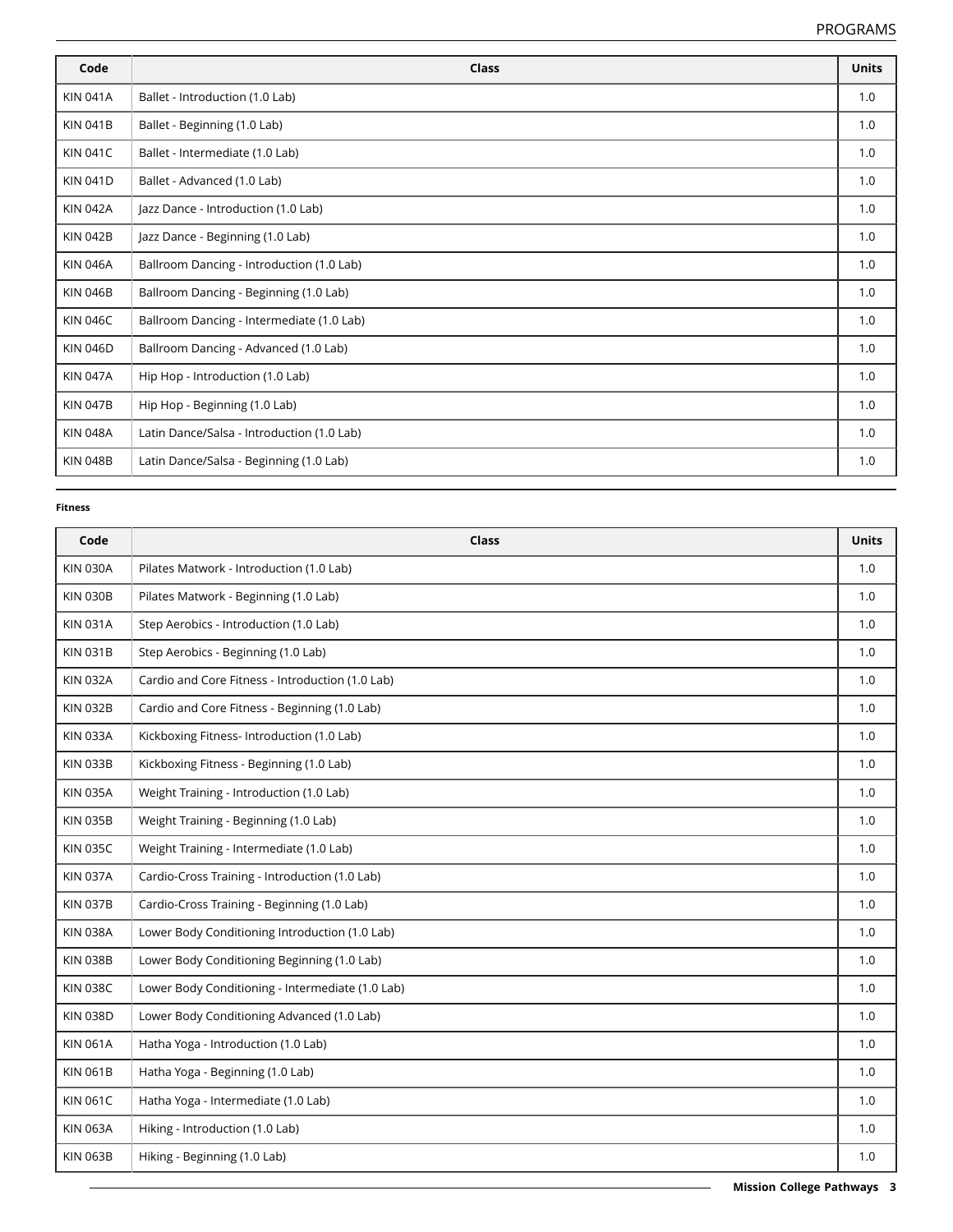| Code            | Class                                      | <b>Units</b> |
|-----------------|--------------------------------------------|--------------|
| <b>KIN 041A</b> | Ballet - Introduction (1.0 Lab)            | 1.0          |
| <b>KIN 041B</b> | Ballet - Beginning (1.0 Lab)               | 1.0          |
| <b>KIN 041C</b> | Ballet - Intermediate (1.0 Lab)            | 1.0          |
| <b>KIN 041D</b> | Ballet - Advanced (1.0 Lab)                | 1.0          |
| <b>KIN 042A</b> | Jazz Dance - Introduction (1.0 Lab)        | 1.0          |
| <b>KIN 042B</b> | Jazz Dance - Beginning (1.0 Lab)           | 1.0          |
| <b>KIN 046A</b> | Ballroom Dancing - Introduction (1.0 Lab)  | 1.0          |
| <b>KIN 046B</b> | Ballroom Dancing - Beginning (1.0 Lab)     | 1.0          |
| <b>KIN 046C</b> | Ballroom Dancing - Intermediate (1.0 Lab)  | 1.0          |
| <b>KIN 046D</b> | Ballroom Dancing - Advanced (1.0 Lab)      | 1.0          |
| <b>KIN 047A</b> | Hip Hop - Introduction (1.0 Lab)           | 1.0          |
| <b>KIN 047B</b> | Hip Hop - Beginning (1.0 Lab)              | 1.0          |
| <b>KIN 048A</b> | Latin Dance/Salsa - Introduction (1.0 Lab) | 1.0          |
| <b>KIN 048B</b> | Latin Dance/Salsa - Beginning (1.0 Lab)    | 1.0          |

## **Fitness**

| Code            | <b>Class</b>                                     | <b>Units</b> |
|-----------------|--------------------------------------------------|--------------|
| <b>KIN 030A</b> | Pilates Matwork - Introduction (1.0 Lab)         | 1.0          |
| <b>KIN 030B</b> | Pilates Matwork - Beginning (1.0 Lab)            | 1.0          |
| <b>KIN 031A</b> | Step Aerobics - Introduction (1.0 Lab)           | 1.0          |
| <b>KIN 031B</b> | Step Aerobics - Beginning (1.0 Lab)              | 1.0          |
| <b>KIN 032A</b> | Cardio and Core Fitness - Introduction (1.0 Lab) | 1.0          |
| <b>KIN 032B</b> | Cardio and Core Fitness - Beginning (1.0 Lab)    | 1.0          |
| <b>KIN 033A</b> | Kickboxing Fitness- Introduction (1.0 Lab)       | 1.0          |
| <b>KIN 033B</b> | Kickboxing Fitness - Beginning (1.0 Lab)         | 1.0          |
| <b>KIN 035A</b> | Weight Training - Introduction (1.0 Lab)         | 1.0          |
| <b>KIN 035B</b> | Weight Training - Beginning (1.0 Lab)            | 1.0          |
| <b>KIN 035C</b> | Weight Training - Intermediate (1.0 Lab)         | 1.0          |
| <b>KIN 037A</b> | Cardio-Cross Training - Introduction (1.0 Lab)   | 1.0          |
| <b>KIN 037B</b> | Cardio-Cross Training - Beginning (1.0 Lab)      | 1.0          |
| <b>KIN 038A</b> | Lower Body Conditioning Introduction (1.0 Lab)   | 1.0          |
| <b>KIN 038B</b> | Lower Body Conditioning Beginning (1.0 Lab)      | 1.0          |
| <b>KIN 038C</b> | Lower Body Conditioning - Intermediate (1.0 Lab) | 1.0          |
| <b>KIN 038D</b> | Lower Body Conditioning Advanced (1.0 Lab)       | 1.0          |
| <b>KIN 061A</b> | Hatha Yoga - Introduction (1.0 Lab)              | 1.0          |
| <b>KIN 061B</b> | Hatha Yoga - Beginning (1.0 Lab)                 | 1.0          |
| <b>KIN 061C</b> | Hatha Yoga - Intermediate (1.0 Lab)              | 1.0          |
| <b>KIN 063A</b> | Hiking - Introduction (1.0 Lab)                  | 1.0          |
| <b>KIN 063B</b> | Hiking - Beginning (1.0 Lab)                     | 1.0          |